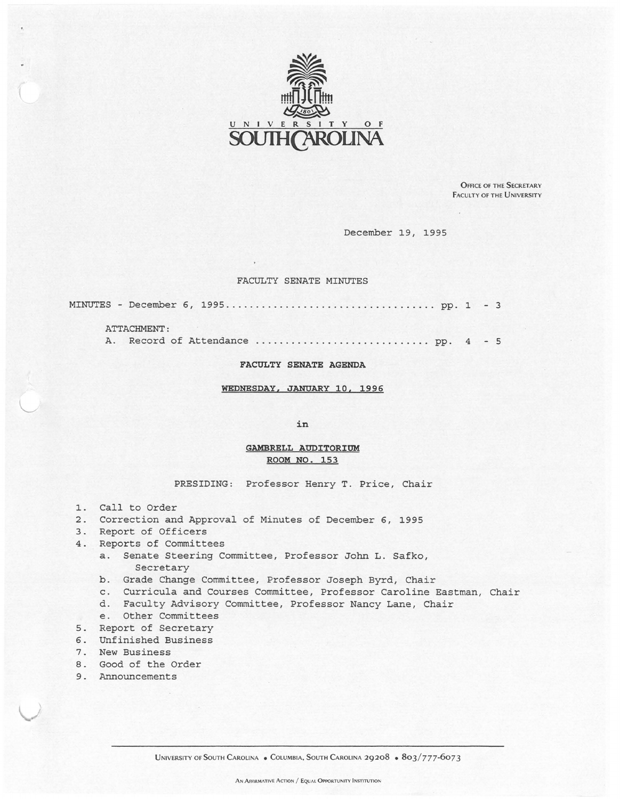

OFFICE OF THE SECRETARY FACULTY OF THE UNIVERSITY

December 19, 1995

## FACULTY SENATE MINUTES

MINUTES - December 6, 1995 ... .. ......... .. . ... ........... . ... pp. 1 - <sup>3</sup>

## ATTACHMENT :

A. Record of Attendance ... . ... . . . .... . .... . . .. . .. .. . pp. 4 - <sup>5</sup>

## **FACULTY SENATE AGENDA**

**WEDNESDAY, JANUARY 10, 1996** 

**in** 

## **GAMBRELL AUDITORIUM ROOM NO. 153**

PRESIDING: Professor Henry T. Price, Chair

- 1. Call to Order
- 2. Correction and Approval of Minutes of December 6, 1995
- 3. Report of Officers
- 4. Reports of Committees
	- a. Senate Steering Committee, Professor John L. Safko, Secretary
	- b. Grade Change Committee, Professor Joseph Byrd, Chair
	- c. Curricula and Courses Committee, Professor Caroline Eastman, Chair
	- d. Faculty Advisory Committee, Professor Nancy Lane, Chair
	- e. Other Committees
- 5. Report of Secretary
- 6. Unfinished Business
- 7. New Business
- 8. Good of the Order
- 9. Announcements

)